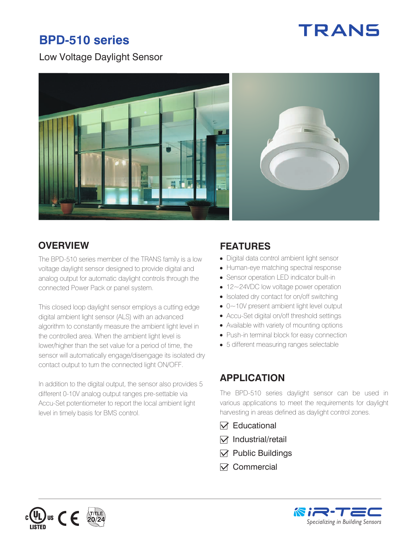# **BPD-510 series**



#### Low Voltage Daylight Sensor



#### **OVERVIEW FEATURES**

The BPD-510 series member of the TRANS family is a low voltage daylight sensor designed to provide digital and analog output for automatic daylight controls through the connected Power Pack or panel system.

This closed loop daylight sensor employs a cutting edge digital ambient light sensor (ALS) with an advanced algorithm to constantly measure the ambient light level in the controlled area. When the ambient light level is lower/higher than the set value for a period of time, the sensor will automatically engage/disengage its isolated dry contact output to turn the connected light ON/OFF.

In addition to the digital output, the sensor also provides 5 different 0-10V analog output ranges pre-settable via Accu-Set potentiometer to report the local ambient light level in timely basis for BMS control.

- Digital data control ambient light sensor
- Human-eye matching spectral response
- Sensor operation LED indicator built-in
- 12~24VDC low voltage power operation
- Isolated dry contact for on/off switching
- 0~10V present ambient light level output
- Accu-Set digital on/off threshold settings
- Available with variety of mounting options
- Push-in terminal block for easy connection
- 5 different measuring ranges selectable

#### **APPLICATION**

The BPD-510 series daylight sensor can be used in various applications to meet the requirements for daylight harvesting in areas defined as daylight control zones.

- $\nabla$  Educational
- $\nabla$  Industrial/retail
- $\nabla$  Public Buildings
- $⊓$  Commercial